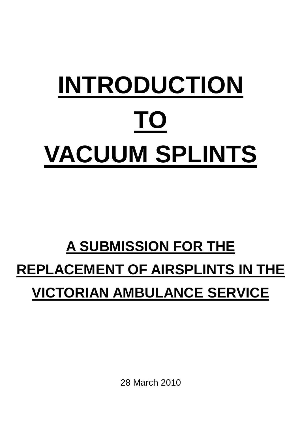# **INTRODUCTION TO VACUUM SPLINTS**

# **A SUBMISSION FOR THE REPLACEMENT OF AIRSPLINTS IN THE VICTORIAN AMBULANCE SERVICE**

28 March 2010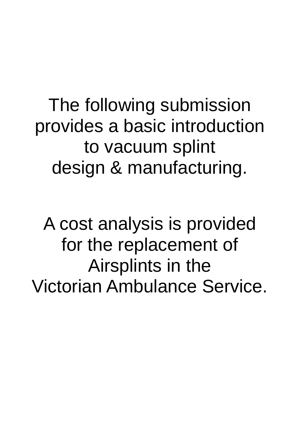The following submission provides a basic introduction to vacuum splint design & manufacturing.

A cost analysis is provided for the replacement of Airsplints in the Victorian Ambulance Service.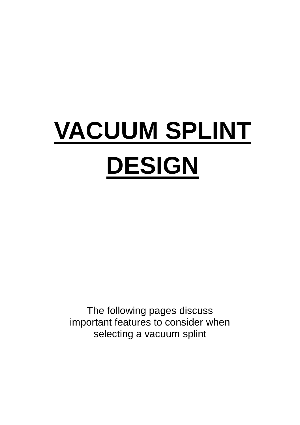# **VACUUM SPLINT DESIGN**

The following pages discuss important features to consider when selecting a vacuum splint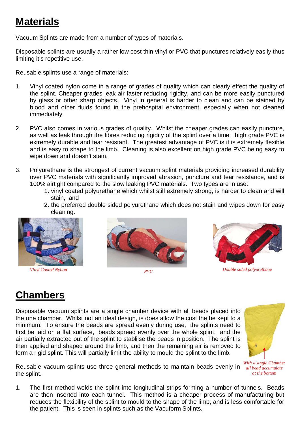## **Materials**

Vacuum Splints are made from a number of types of materials.

Disposable splints are usually a rather low cost thin vinyl or PVC that punctures relatively easily thus limiting it's repetitive use.

Reusable splints use a range of materials:

- 1. Vinyl coated nylon come in a range of grades of quality which can clearly effect the quality of the splint. Cheaper grades leak air faster reducing rigidity, and can be more easily punctured by glass or other sharp objects. Vinyl in general is harder to clean and can be stained by blood and other fluids found in the prehospital environment, especially when not cleaned immediately.
- 2. PVC also comes in various grades of quality. Whilst the cheaper grades can easily puncture, as well as leak through the fibres reducing rigidity of the splint over a time, high grade PVC is extremely durable and tear resistant. The greatest advantage of PVC is it is extremely flexible and is easy to shape to the limb. Cleaning is also excellent on high grade PVC being easy to wipe down and doesn't stain.
- 3. Polyurethane is the strongest of current vacuum splint materials providing increased durability over PVC materials with significantly improved abrasion, puncture and tear resistance, and is 100% airtight compared to the slow leaking PVC materials. Two types are in use:
	- 1. vinyl coated polyurethane which whilst still extremely strong, is harder to clean and will stain, and
	- 2. the preferred double sided polyurethane which does not stain and wipes down for easy cleaning.



*Vinyl Coated Nylion PVC* 





*Double sided polyurethane* 

# **Chambers**

Disposable vacuum splints are a single chamber device with all beads placed into the one chamber. Whilst not an ideal design, is does allow the cost the be kept to a minimum. To ensure the beads are spread evenly during use, the splints need to first be laid on a flat surface, beads spread evenly over the whole splint, and the air partially extracted out of the splint to stablilse the beads in position. The splint is then applied and shaped around the limb, and then the remaining air is removed to form a rigid splint. This will partially limit the ability to mould the splint to the limb.



*With a single Chamber at the bottom* 

- Reusable vacuum splints use three general methods to maintain beads evenly in *all bead accumulate*  the splint.
- 1. The first method welds the splint into longitudinal strips forming a number of tunnels. Beads are then inserted into each tunnel. This method is a cheaper process of manufacturing but reduces the flexibility of the splint to mould to the shape of the limb, and is less comfortable for the patient. This is seen in splints such as the Vacuform Splints.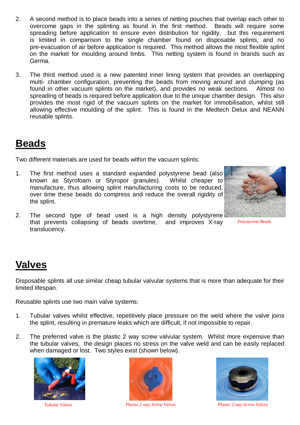- 2. A second method is to place beads into a series of netting pouches that overlap each other to overcome gaps in the splinting as found in the first method. Beads will require some spreading before application to ensure even distribution for rigidity, but this requirement is limited in comparison to the single chamber found on disposable splints, and no pre-evacuation of air before application is required. This method allows the most flexible splint on the market for moulding around limbs. This netting system is found in brands such as Germa.
- 3. The third method used is a new patented inner lining system that provides an overlapping multi- chamber configuration, preventing the beads from moving around and clumping (as found in other vacuum splints on the market), and provides no weak sections. Almost no spreading of beads is required before application due to the unique chamber design. This also provides the most rigid of the vacuum splints on the market for immobilisation, whilst still allowing effective moulding of the splint. This is found in the Medtech Delux and NEANN reusable splints.

#### **Beads**

Two different materials are used for beads within the vacuum splints:

1. The first method uses a standard expanded polystyrene bead (also known as Styrofoam or Styropor granules). Whilst cheaper to manufacture, thus allowing splint manufacturing costs to be reduced, over time these beads do compress and reduce the overall rigidity of the splint.



2. The second type of bead used is a high density polystyrene that prevents collapsing of beads overtime, and improves X-ray translucency.

*Polystyrene Beads* 

### **Valves**

Disposable splints all use similar cheap tubular valvular systems that is more than adequate for their limited lifespan.

Reusable splints use two main valve systems:

- 1. Tubular valves whilst effective, repetitively place pressure on the weld where the valve joins the splint, resulting in premature leaks which are difficult, if not impossible to repair.
- 2. The preferred valve is the plastic 2 way screw valvular system. Whilst more expensive than the tubular valves, the design places no stress on the valve weld and can be easily replaced when damaged or lost. Two styles exist (shown below).





*Tubular Valves Plastic 2 way Screw Valves Plastic 2 way Screw Valves* 

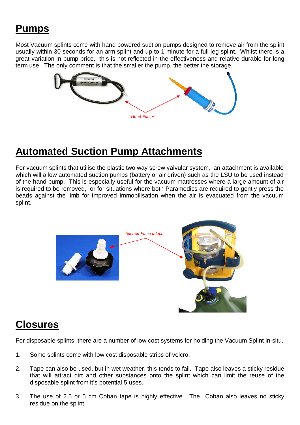# **Pumps**

Most Vacuum splints come with hand powered suction pumps designed to remove air from the splint usually within 30 seconds for an arm splint and up to 1 minute for a full leg splint. Whilst there is a great variation in pump price, this is not reflected in the effectiveness and relative durable for long term use. The only comment is that the smaller the pump, the better the storage.



#### **Automated Suction Pump Attachments**

For vacuum splints that utilise the plastic two way screw valvular system, an attachment is available which will allow automated suction pumps (battery or air driven) such as the LSU to be used instead of the hand pump. This is especially useful for the vacuum mattresses where a large amount of air is required to be removed, or for situations where both Paramedics are required to gently press the beads against the limb for improved immobilisation when the air is evacuated from the vacuum splint.



#### **Closures**

For disposable splints, there are a number of low cost systems for holding the Vacuum Splint in-situ.

- 1. Some splints come with low cost disposable strips of velcro.
- 2. Tape can also be used, but in wet weather, this tends to fail. Tape also leaves a sticky residue that will attract dirt and other substances onto the splint which can limit the reuse of the disposable splint from it's potential 5 uses.
- 3. The use of 2.5 or 5 cm Coban tape is highly effective. The Coban also leaves no sticky residue on the splint.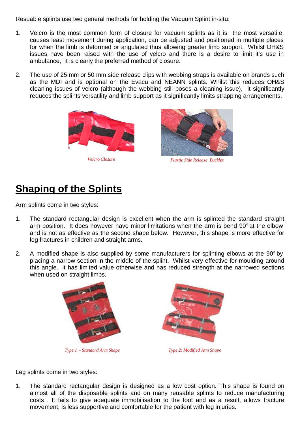Resuable splints use two general methods for holding the Vacuum Splint in-situ:

- 1. Velcro is the most common form of closure for vacuum splints as it is the most versatile, causes least movement during application, can be adjusted and positioned in multiple places for when the limb is deformed or angulated thus allowing greater limb support. Whilst OH&S issues have been raised with the use of velcro and there is a desire to limit it's use in ambulance, it is clearly the preferred method of closure.
- 2. The use of 25 mm or 50 mm side release clips with webbing straps is available on brands such as the MDI and is optional on the Evacu and NEANN splints. Whilst this reduces OH&S cleaning issues of velcro (although the webbing still poses a cleaning issue), it significantly reduces the splints versatility and limb support as it significantly limits strapping arrangements.





*Velcro Closure Plastic Side Release Buckles* 

### **Shaping of the Splints**

Arm splints come in two styles:

- 1. The standard rectangular design is excellent when the arm is splinted the standard straight arm position. It does however have minor limitations when the arm is bend 90° at the elbow and is not as effective as the second shape below. However, this shape is more effective for leg fractures in children and straight arms.
- 2. A modified shape is also supplied by some manufacturers for splinting elbows at the 90° by placing a narrow section in the middle of the splint. Whilst very effective for moulding around this angle, it has limited value otherwise and has reduced strength at the narrowed sections when used on straight limbs.



*Type 1 - Standard Arm Shape Type 2: Modified Arm Shape* 



Leg splints come in two styles:

1. The standard rectangular design is designed as a low cost option. This shape is found on almost all of the disposable splints and on many reusable splints to reduce manufacturing costs . It fails to give adequate immobilisation to the foot and as a result, allows fracture movement, is less supportive and comfortable for the patient with leg injuries.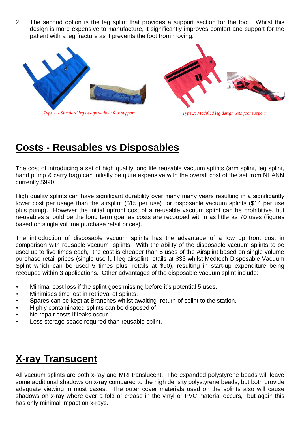2. The second option is the leg splint that provides a support section for the foot. Whilst this design is more expensive to manufacture, it significantly improves comfort and support for the patient with a leg fracture as it prevents the foot from moving.



*Type 1 - Standard leg design without foot support Type 2: Modified leg design with foot support* 

#### **Costs - Reusables vs Disposables**

The cost of introducing a set of high quality long life reusable vacuum splints (arm splint, leg splint, hand pump & carry bag) can initially be quite expensive with the overall cost of the set from NEANN currently \$990.

High quality splints can have significant durability over many many years resulting in a significantly lower cost per usage than the airsplint (\$15 per use) or disposable vacuum splints (\$14 per use plus pump). However the initial upfront cost of a re-usable vacuum splint can be prohibitive, but re-usables should be the long term goal as costs are recouped within as little as 70 uses (figures based on single volume purchase retail prices).

The introduction of disposable vacuum splints has the advantage of a low up front cost in comparison with reusable vacuum splints. With the ability of the disposable vacuum splints to be used up to five times each, the cost is cheaper than 5 uses of the Airsplint based on single volume purchase retail prices (single use full leg airsplint retails at \$33 whilst Medtech Disposable Vacuum Splint which can be used 5 times plus, retails at \$90), resulting in start-up expenditure being recouped within 3 applications. Other advantages of the disposable vacuum splint include:

- Minimal cost loss if the splint goes missing before it's potential 5 uses.
- Minimises time lost in retrieval of splints.
- Spares can be kept at Branches whilst awaiting return of splint to the station.
- Highly contaminated splints can be disposed of.
- No repair costs if leaks occur.
- Less storage space required than reusable splint.

# **X-ray Transucent**

All vacuum splints are both x-ray and MRI translucent. The expanded polystyrene beads will leave some additional shadows on x-ray compared to the high density polystyrene beads, but both provide adequate viewing in most cases. The outer cover materials used on the splints also will cause shadows on x-ray where ever a fold or crease in the vinyl or PVC material occurs, but again this has only minimal impact on x-rays.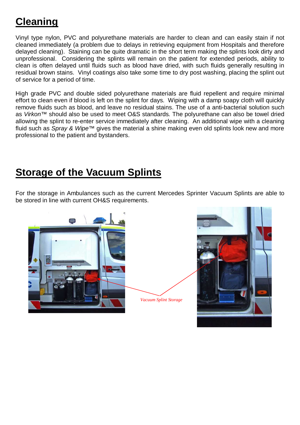# **Cleaning**

Vinyl type nylon, PVC and polyurethane materials are harder to clean and can easily stain if not cleaned immediately (a problem due to delays in retrieving equipment from Hospitals and therefore delayed cleaning). Staining can be quite dramatic in the short term making the splints look dirty and unprofessional. Considering the splints will remain on the patient for extended periods, ability to clean is often delayed until fluids such as blood have dried, with such fluids generally resulting in residual brown stains. Vinyl coatings also take some time to dry post washing, placing the splint out of service for a period of time.

High grade PVC and double sided polyurethane materials are fluid repellent and require minimal effort to clean even if blood is left on the splint for days. Wiping with a damp soapy cloth will quickly remove fluids such as blood, and leave no residual stains. The use of a anti-bacterial solution such as Virkon™ should also be used to meet O&S standards. The polyurethane can also be towel dried allowing the splint to re-enter service immediately after cleaning. An additional wipe with a cleaning fluid such as Spray & Wipe™ gives the material a shine making even old splints look new and more professional to the patient and bystanders.

#### **Storage of the Vacuum Splints**

For the storage in Ambulances such as the current Mercedes Sprinter Vacuum Splints are able to be stored in line with current OH&S requirements.



*Vacuum Splint Storage* 

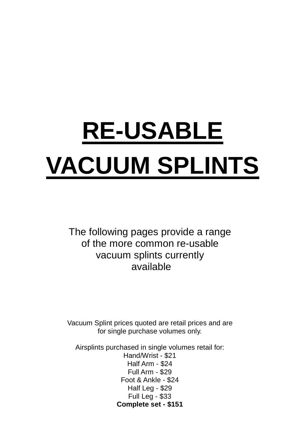# **RE-USABLE VACUUM SPLINTS**

The following pages provide a range of the more common re-usable vacuum splints currently available

Vacuum Splint prices quoted are retail prices and are for single purchase volumes only.

Airsplints purchased in single volumes retail for: Hand/Wrist - \$21 Half Arm - \$24 Full Arm - \$29 Foot & Ankle - \$24 Half Leg - \$29 Full Leg - \$33 **Complete set - \$151**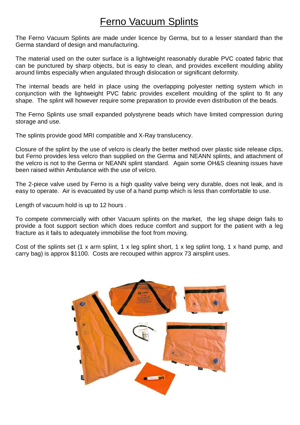#### Ferno Vacuum Splints

The Ferno Vacuum Splints are made under licence by Germa, but to a lesser standard than the Germa standard of design and manufacturing.

The material used on the outer surface is a lightweight reasonably durable PVC coated fabric that can be punctured by sharp objects, but is easy to clean, and provides excellent moulding ability around limbs especially when angulated through dislocation or significant deformity.

The internal beads are held in place using the overlapping polyester netting system which in conjunction with the lightweight PVC fabric provides excellent moulding of the splint to fit any shape. The splint will however require some preparation to provide even distribution of the beads.

The Ferno Splints use small expanded polystyrene beads which have limited compression during storage and use.

The splints provide good MRI compatible and X-Ray translucency.

Closure of the splint by the use of velcro is clearly the better method over plastic side release clips, but Ferno provides less velcro than supplied on the Germa and NEANN splints, and attachment of the velcro is not to the Germa or NEANN splint standard. Again some OH&S cleaning issues have been raised within Ambulance with the use of velcro.

The 2-piece valve used by Ferno is a high quality valve being very durable, does not leak, and is easy to operate. Air is evacuated by use of a hand pump which is less than comfortable to use.

Length of vacuum hold is up to 12 hours .

To compete commercially with other Vacuum splints on the market, the leg shape deign fails to provide a foot support section which does reduce comfort and support for the patient with a leg fracture as it fails to adequately immobilise the foot from moving.

Cost of the splints set (1 x arm splint, 1 x leg splint short, 1 x leg splint long, 1 x hand pump, and carry bag) is approx \$1100. Costs are recouped within approx 73 airsplint uses.

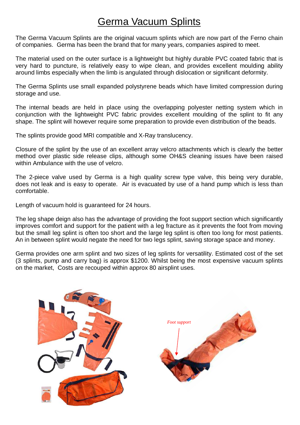#### Germa Vacuum Splints

The Germa Vacuum Splints are the original vacuum splints which are now part of the Ferno chain of companies. Germa has been the brand that for many years, companies aspired to meet.

The material used on the outer surface is a lightweight but highly durable PVC coated fabric that is very hard to puncture, is relatively easy to wipe clean, and provides excellent moulding ability around limbs especially when the limb is angulated through dislocation or significant deformity.

The Germa Splints use small expanded polystyrene beads which have limited compression during storage and use.

The internal beads are held in place using the overlapping polyester netting system which in conjunction with the lightweight PVC fabric provides excellent moulding of the splint to fit any shape. The splint will however require some preparation to provide even distribution of the beads.

The splints provide good MRI compatible and X-Ray translucency.

Closure of the splint by the use of an excellent array velcro attachments which is clearly the better method over plastic side release clips, although some OH&S cleaning issues have been raised within Ambulance with the use of velcro.

The 2-piece valve used by Germa is a high quality screw type valve, this being very durable, does not leak and is easy to operate. Air is evacuated by use of a hand pump which is less than comfortable.

Length of vacuum hold is guaranteed for 24 hours.

The leg shape deign also has the advantage of providing the foot support section which significantly improves comfort and support for the patient with a leg fracture as it prevents the foot from moving but the small leg splint is often too short and the large leg splint is often too long for most patients. An in between splint would negate the need for two legs splint, saving storage space and money.

Germa provides one arm splint and two sizes of leg splints for versatility. Estimated cost of the set (3 splints, pump and carry bag) is approx \$1200. Whilst being the most expensive vacuum splints on the market, Costs are recouped within approx 80 airsplint uses.

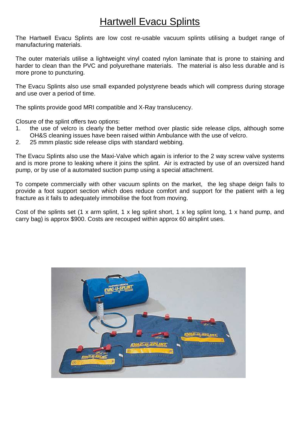#### Hartwell Evacu Splints

The Hartwell Evacu Splints are low cost re-usable vacuum splints utilising a budget range of manufacturing materials.

The outer materials utilise a lightweight vinyl coated nylon laminate that is prone to staining and harder to clean than the PVC and polyurethane materials. The material is also less durable and is more prone to puncturing.

The Evacu Splints also use small expanded polystyrene beads which will compress during storage and use over a period of time.

The splints provide good MRI compatible and X-Ray translucency.

Closure of the splint offers two options:

- 1. the use of velcro is clearly the better method over plastic side release clips, although some OH&S cleaning issues have been raised within Ambulance with the use of velcro.
- 2. 25 mmm plastic side release clips with standard webbing.

The Evacu Splints also use the Maxi-Valve which again is inferior to the 2 way screw valve systems and is more prone to leaking where it joins the splint. Air is extracted by use of an oversized hand pump, or by use of a automated suction pump using a special attachment.

To compete commercially with other vacuum splints on the market, the leg shape deign fails to provide a foot support section which does reduce comfort and support for the patient with a leg fracture as it fails to adequately immobilise the foot from moving.

Cost of the splints set (1 x arm splint, 1 x leg splint short, 1 x leg splint long, 1 x hand pump, and carry bag) is approx \$900. Costs are recouped within approx 60 airsplint uses.

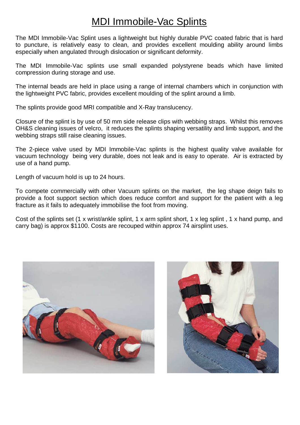#### MDI Immobile-Vac Splints

The MDI Immobile-Vac Splint uses a lightweight but highly durable PVC coated fabric that is hard to puncture, is relatively easy to clean, and provides excellent moulding ability around limbs especially when angulated through dislocation or significant deformity.

The MDI Immobile-Vac splints use small expanded polystyrene beads which have limited compression during storage and use.

The internal beads are held in place using a range of internal chambers which in conjunction with the lightweight PVC fabric, provides excellent moulding of the splint around a limb.

The splints provide good MRI compatible and X-Ray translucency.

Closure of the splint is by use of 50 mm side release clips with webbing straps. Whilst this removes OH&S cleaning issues of velcro, it reduces the splints shaping versatility and limb support, and the webbing straps still raise cleaning issues.

The 2-piece valve used by MDI Immobile-Vac splints is the highest quality valve available for vacuum technology being very durable, does not leak and is easy to operate. Air is extracted by use of a hand pump.

Length of vacuum hold is up to 24 hours.

To compete commercially with other Vacuum splints on the market, the leg shape deign fails to provide a foot support section which does reduce comfort and support for the patient with a leg fracture as it fails to adequately immobilise the foot from moving.

Cost of the splints set (1 x wrist/ankle splint, 1 x arm splint short, 1 x leg splint , 1 x hand pump, and carry bag) is approx \$1100. Costs are recouped within approx 74 airsplint uses.



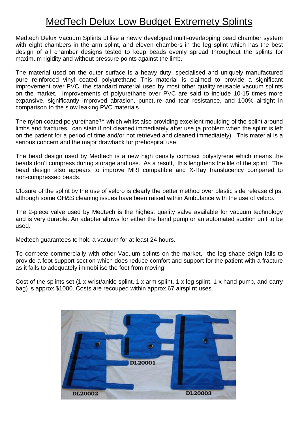#### MedTech Delux Low Budget Extremety Splints

Medtech Delux Vacuum Splints utilise a newly developed multi-overlapping bead chamber system with eight chambers in the arm splint, and eleven chambers in the leg splint which has the best design of all chamber designs tested to keep beads evenly spread throughout the splints for maximum rigidity and without pressure points against the limb.

The material used on the outer surface is a heavy duty, specialised and uniquely manufactured pure reinforced vinyl coated polyurethane This material is claimed to provide a significant improvement over PVC, the standard material used by most other quality reusable vacuum splints on the market. Improvements of polyurethane over PVC are said to include 10-15 times more expansive, significantly improved abrasion, puncture and tear resistance, and 100% airtight in comparison to the slow leaking PVC materials.

The nylon coated polyurethane™ which whilst also providing excellent moulding of the splint around limbs and fractures, can stain if not cleaned immediately after use (a problem when the splint is left on the patient for a period of time and/or not retrieved and cleaned immediately). This material is a serious concern and the major drawback for prehospital use.

The bead design used by Medtech is a new high density compact polystyrene which means the beads don't compress during storage and use. As a result, this lengthens the life of the splint, The bead design also appears to improve MRI compatible and X-Ray translucency compared to non-compressed beads.

Closure of the splint by the use of velcro is clearly the better method over plastic side release clips, although some OH&S cleaning issues have been raised within Ambulance with the use of velcro.

The 2-piece valve used by Medtech is the highest quality valve available for vacuum technology and is very durable. An adapter allows for either the hand pump or an automated suction unit to be used.

Medtech guarantees to hold a vacuum for at least 24 hours.

To compete commercially with other Vacuum splints on the market, the leg shape deign fails to provide a foot support section which does reduce comfort and support for the patient with a fracture as it fails to adequately immobilise the foot from moving.

Cost of the splints set (1 x wrist/ankle splint, 1 x arm splint, 1 x leg splint, 1 x hand pump, and carry bag) is approx \$1000. Costs are recouped within approx 67 airsplint uses.

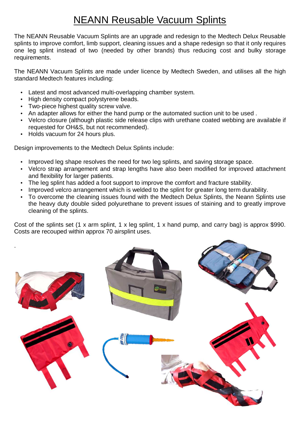## NEANN Reusable Vacuum Splints

The NEANN Reusable Vacuum Splints are an upgrade and redesign to the Medtech Delux Reusable splints to improve comfort, limb support, cleaning issues and a shape redesign so that it only requires one leg splint instead of two (needed by other brands) thus reducing cost and bulky storage requirements.

The NEANN Vacuum Splints are made under licence by Medtech Sweden, and utilises all the high standard Medtech features including:

- Latest and most advanced multi-overlapping chamber system.
- High density compact polystyrene beads.
- Two-piece highest quality screw valve.
- An adapter allows for either the hand pump or the automated suction unit to be used .
- Velcro closure (although plastic side release clips with urethane coated webbing are available if requested for OH&S, but not recommended).
- Holds vacuum for 24 hours plus.

Design improvements to the Medtech Delux Splints include:

- Improved leg shape resolves the need for two leg splints, and saving storage space.
- Velcro strap arrangement and strap lengths have also been modified for improved attachment and flexibility for larger patients.
- The leg splint has added a foot support to improve the comfort and fracture stability.
- Improved velcro arrangement which is welded to the splint for greater long term durability.
- To overcome the cleaning issues found with the Medtech Delux Splints, the Neann Splints use the heavy duty double sided polyurethane to prevent issues of staining and to greatly improve cleaning of the splints.

Cost of the splints set (1 x arm splint, 1 x leg splint, 1 x hand pump, and carry bag) is approx \$990. Costs are recouped within approx 70 airsplint uses.

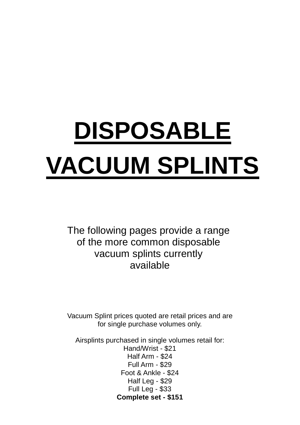# **DISPOSABLE VACUUM SPLINTS**

The following pages provide a range of the more common disposable vacuum splints currently available

Vacuum Splint prices quoted are retail prices and are for single purchase volumes only.

Airsplints purchased in single volumes retail for: Hand/Wrist - \$21 Half Arm - \$24 Full Arm - \$29 Foot & Ankle - \$24 Half Leg - \$29 Full Leg - \$33 **Complete set - \$151**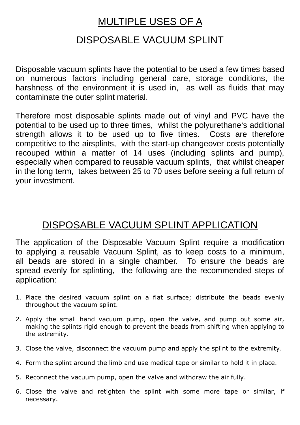### MULTIPLE USES OF A

#### DISPOSABLE VACUUM SPLINT

Disposable vacuum splints have the potential to be used a few times based on numerous factors including general care, storage conditions, the harshness of the environment it is used in, as well as fluids that may contaminate the outer splint material.

Therefore most disposable splints made out of vinyl and PVC have the potential to be used up to three times, whilst the polyurethane's additional strength allows it to be used up to five times. Costs are therefore competitive to the airsplints, with the start-up changeover costs potentially recouped within a matter of 14 uses (including splints and pump), especially when compared to reusable vacuum splints, that whilst cheaper in the long term, takes between 25 to 70 uses before seeing a full return of your investment.

# DISPOSABLE VACUUM SPLINT APPLICATION

The application of the Disposable Vacuum Splint require a modification to applying a reusable Vacuum Splint, as to keep costs to a minimum, all beads are stored in a single chamber. To ensure the beads are spread evenly for splinting, the following are the recommended steps of application:

- 1. Place the desired vacuum splint on a flat surface; distribute the beads evenly throughout the vacuum splint.
- 2. Apply the small hand vacuum pump, open the valve, and pump out some air, making the splints rigid enough to prevent the beads from shifting when applying to the extremity.
- 3. Close the valve, disconnect the vacuum pump and apply the splint to the extremity.
- 4. Form the splint around the limb and use medical tape or similar to hold it in place.
- 5. Reconnect the vacuum pump, open the valve and withdraw the air fully.
- 6. Close the valve and retighten the splint with some more tape or similar, if necessary.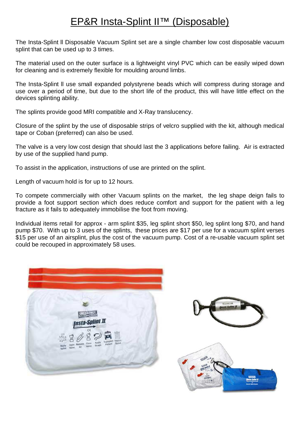#### EP&R Insta-Splint II™ (Disposable)

The Insta-Splint ll Disposable Vacuum Splint set are a single chamber low cost disposable vacuum splint that can be used up to 3 times.

The material used on the outer surface is a lightweight vinyl PVC which can be easily wiped down for cleaning and is extremely flexible for moulding around limbs.

The Insta-Splint ll use small expanded polystyrene beads which will compress during storage and use over a period of time, but due to the short life of the product, this will have little effect on the devices splinting ability.

The splints provide good MRI compatible and X-Ray translucency.

Closure of the splint by the use of disposable strips of velcro supplied with the kit, although medical tape or Coban (preferred) can also be used.

The valve is a very low cost design that should last the 3 applications before failing. Air is extracted by use of the supplied hand pump.

To assist in the application, instructions of use are printed on the splint.

Length of vacuum hold is for up to 12 hours.

To compete commercially with other Vacuum splints on the market, the leg shape deign fails to provide a foot support section which does reduce comfort and support for the patient with a leg fracture as it fails to adequately immobilise the foot from moving.

Individual items retail for approx - arm splint \$35, leg splint short \$50, leg splint long \$70, and hand pump \$70. With up to 3 uses of the splints, these prices are \$17 per use for a vacuum splint verses \$15 per use of an airsplint, plus the cost of the vacuum pump. Cost of a re-usable vacuum splint set could be recouped in approximately 58 uses.

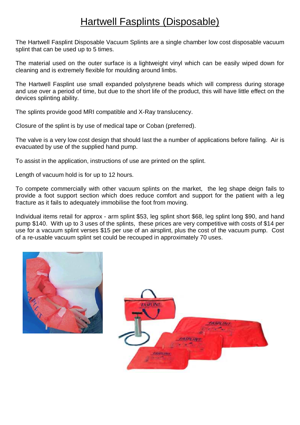#### Hartwell Fasplints (Disposable)

The Hartwell Fasplint Disposable Vacuum Splints are a single chamber low cost disposable vacuum splint that can be used up to 5 times.

The material used on the outer surface is a lightweight vinyl which can be easily wiped down for cleaning and is extremely flexible for moulding around limbs.

The Hartwell Fasplint use small expanded polystyrene beads which will compress during storage and use over a period of time, but due to the short life of the product, this will have little effect on the devices splinting ability.

The splints provide good MRI compatible and X-Ray translucency.

Closure of the splint is by use of medical tape or Coban (preferred).

The valve is a very low cost design that should last the a number of applications before failing. Air is evacuated by use of the supplied hand pump.

To assist in the application, instructions of use are printed on the splint.

Length of vacuum hold is for up to 12 hours.

To compete commercially with other vacuum splints on the market, the leg shape deign fails to provide a foot support section which does reduce comfort and support for the patient with a leg fracture as it fails to adequately immobilise the foot from moving.

Individual items retail for approx - arm splint \$53, leg splint short \$68, leg splint long \$90, and hand pump \$140. With up to 3 uses of the splints, these prices are very competitive with costs of \$14 per use for a vacuum splint verses \$15 per use of an airsplint, plus the cost of the vacuum pump. Cost of a re-usable vacuum splint set could be recouped in approximately 70 uses.



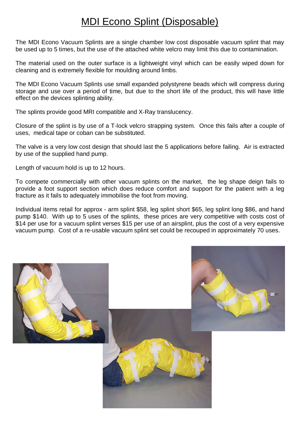#### MDI Econo Splint (Disposable)

The MDI Econo Vacuum Splints are a single chamber low cost disposable vacuum splint that may be used up to 5 times, but the use of the attached white velcro may limit this due to contamination.

The material used on the outer surface is a lightweight vinyl which can be easily wiped down for cleaning and is extremely flexible for moulding around limbs.

The MDI Econo Vacuum Splints use small expanded polystyrene beads which will compress during storage and use over a period of time, but due to the short life of the product, this will have little effect on the devices splinting ability.

The splints provide good MRI compatible and X-Ray translucency.

Closure of the splint is by use of a T-lock velcro strapping system. Once this fails after a couple of uses, medical tape or coban can be substituted.

The valve is a very low cost design that should last the 5 applications before failing. Air is extracted by use of the supplied hand pump.

Length of vacuum hold is up to 12 hours.

To compete commercially with other vacuum splints on the market, the leg shape deign fails to provide a foot support section which does reduce comfort and support for the patient with a leg fracture as it fails to adequately immobilise the foot from moving.

Individual items retail for approx - arm splint \$58, leg splint short \$65, leg splint long \$86, and hand pump \$140. With up to 5 uses of the splints, these prices are very competitive with costs cost of \$14 per use for a vacuum splint verses \$15 per use of an airsplint, plus the cost of a very expensive vacuum pump. Cost of a re-usable vacuum splint set could be recouped in approximately 70 uses.